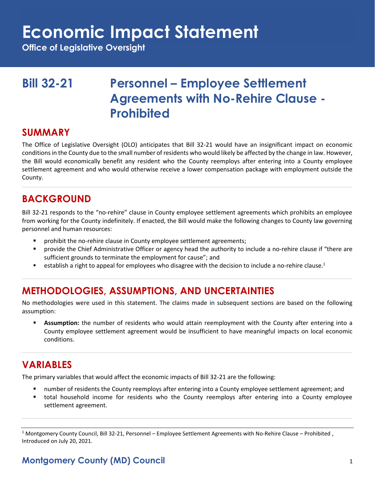# **Economic Impact Statement**

**Office of Legislative Oversight**

# **Bill 32-21 Personnel – Employee Settlement Agreements with No-Rehire Clause - Prohibited**

#### **SUMMARY**

The Office of Legislative Oversight (OLO) anticipates that Bill 32-21 would have an insignificant impact on economic conditions in the County due to the small number of residents who would likely be affected by the change in law. However, the Bill would economically benefit any resident who the County reemploys after entering into a County employee settlement agreement and who would otherwise receive a lower compensation package with employment outside the County.

### **BACKGROUND**

Bill 32-21 responds to the "no-rehire" clause in County employee settlement agreements which prohibits an employee from working for the County indefinitely. If enacted, the Bill would make the following changes to County law governing personnel and human resources:

- prohibit the no-rehire clause in County employee settlement agreements;
- provide the Chief Administrative Officer or agency head the authority to include a no-rehire clause if "there are sufficient grounds to terminate the employment for cause"; and
- establish a right to appeal for employees who disagree with the decision to include a no-rehire clause.<sup>1</sup>

## **METHODOLOGIES, ASSUMPTIONS, AND UNCERTAINTIES**

No methodologies were used in this statement. The claims made in subsequent sections are based on the following assumption:

**EXECT** Assumption: the number of residents who would attain reemployment with the County after entering into a County employee settlement agreement would be insufficient to have meaningful impacts on local economic conditions.

### **VARIABLES**

The primary variables that would affect the economic impacts of Bill 32-21 are the following:

- number of residents the County reemploys after entering into a County employee settlement agreement; and
- total household income for residents who the County reemploys after entering into a County employee settlement agreement.

#### **Montgomery County (MD) Council** 1

<sup>&</sup>lt;sup>1</sup> Montgomery County Council, Bill 32-21, Personnel – Employee Settlement Agreements with No-Rehire Clause – Prohibited, Introduced on July 20, 2021.